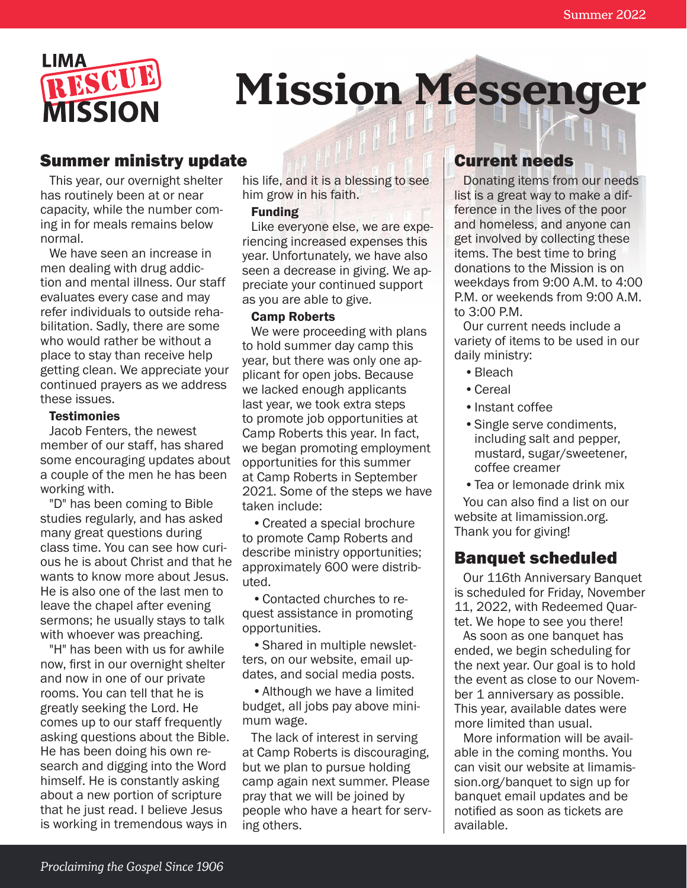

# **Mission Messenger**

# Summer ministry update

This year, our overnight shelter has routinely been at or near capacity, while the number coming in for meals remains below normal.

We have seen an increase in men dealing with drug addiction and mental illness. Our staff evaluates every case and may refer individuals to outside rehabilitation. Sadly, there are some who would rather be without a place to stay than receive help getting clean. We appreciate your continued prayers as we address these issues.

#### **Testimonies**

Jacob Fenters, the newest member of our staff, has shared some encouraging updates about a couple of the men he has been working with.

"D" has been coming to Bible studies regularly, and has asked many great questions during class time. You can see how curious he is about Christ and that he wants to know more about Jesus. He is also one of the last men to leave the chapel after evening sermons; he usually stays to talk with whoever was preaching.

"H" has been with us for awhile now, first in our overnight shelter and now in one of our private rooms. You can tell that he is greatly seeking the Lord. He comes up to our staff frequently asking questions about the Bible. He has been doing his own research and digging into the Word himself. He is constantly asking about a new portion of scripture that he just read. I believe Jesus is working in tremendous ways in

his life, and it is a blessing to see him grow in his faith.

#### Funding

Like everyone else, we are experiencing increased expenses this year. Unfortunately, we have also seen a decrease in giving. We appreciate your continued support as you are able to give.

#### Camp Roberts

We were proceeding with plans to hold summer day camp this year, but there was only one applicant for open jobs. Because we lacked enough applicants last year, we took extra steps to promote job opportunities at Camp Roberts this year. In fact, we began promoting employment opportunities for this summer at Camp Roberts in September 2021. Some of the steps we have taken include:

•Created a special brochure to promote Camp Roberts and describe ministry opportunities; approximately 600 were distributed.

•Contacted churches to request assistance in promoting opportunities.

•Shared in multiple newsletters, on our website, email updates, and social media posts.

•Although we have a limited budget, all jobs pay above minimum wage.

The lack of interest in serving at Camp Roberts is discouraging, but we plan to pursue holding camp again next summer. Please pray that we will be joined by people who have a heart for serving others.

### Current needs

Donating items from our needs list is a great way to make a difference in the lives of the poor and homeless, and anyone can get involved by collecting these items. The best time to bring donations to the Mission is on weekdays from 9:00 A.M. to 4:00 P.M. or weekends from 9:00 A.M. to 3:00 P.M.

Our current needs include a variety of items to be used in our daily ministry:

- •Bleach
- •Cereal
- •Instant coffee
- •Single serve condiments, including salt and pepper, mustard, sugar/sweetener, coffee creamer
- •Tea or lemonade drink mix

You can also find a list on our website at limamission.org. Thank you for giving!

#### Banquet scheduled

Our 116th Anniversary Banquet is scheduled for Friday, November 11, 2022, with Redeemed Quartet. We hope to see you there!

As soon as one banquet has ended, we begin scheduling for the next year. Our goal is to hold the event as close to our November 1 anniversary as possible. This year, available dates were more limited than usual.

More information will be available in the coming months. You can visit our website at limamission.org/banquet to sign up for banquet email updates and be notified as soon as tickets are available.